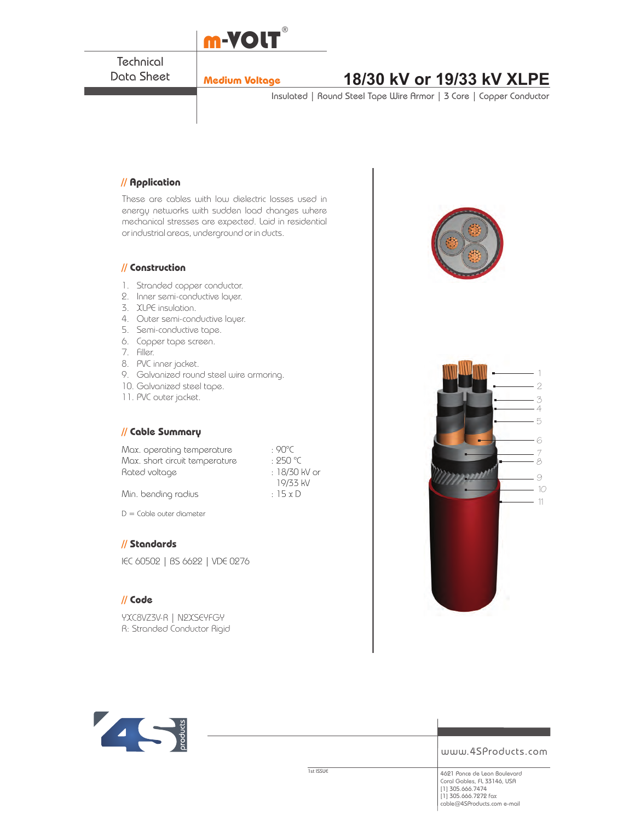

**Technical** Data Sheet

# **Medium Voltage 18/30 kV or 19/33 kV XLPE**

Insulated | Round Steel Tape Wire Armor | 3 Core | Copper Conductor

### **// Application**

These are cables with low dielectric losses used in energy networks with sudden load changes where mechanical stresses are expected. Laid in residential or industrial areas, underground or in ducts.

#### **// Construction**

- 1. Stranded copper conductor.
- 2. Inner semi-conductive layer.
- 3. XLPE insulation.
- 4. Outer semi-conductive layer.
- 5. Semi-conductive tape.
- 6. Copper tape screen.
- 7. Filler.
- 8. PVC inner jacket.
- 9. Galvanized round steel wire armoring.
- 10. Galvanized steel tape.
- 11. PVC outer jacket.

#### **// Cable Summary**

Max. operating temperature : 90°C<br>Max. short circuit temperature : 250 °C Max. short circuit temperature Rated voltage in the set of the 18/30 kV or

 19/33 kV Min. bending radius  $\cdot$  15 x D

D = Cable outer diameter

# **// Standards**

IEC 60502 | BS 6622 | VDE 0276

# **// Code**

YXC8VZ3V-R | N2XSEYFGY R: Stranded Conductor Rigid







www.4SProducts.com

1st ISSUE